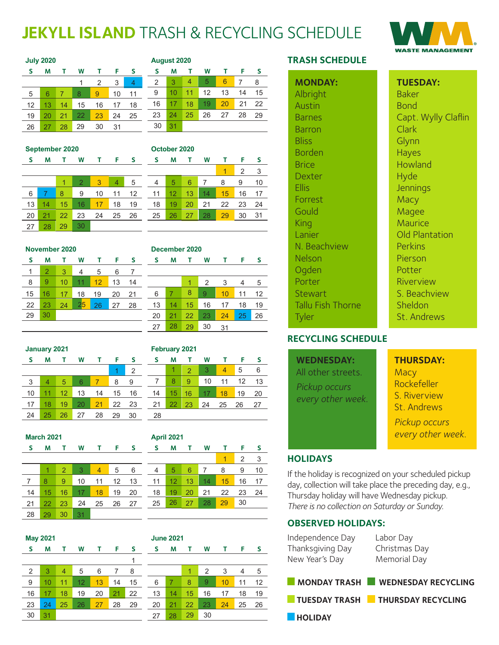# **JEKYLL ISLAND** TRASH & RECYCLING SCHEDULE

1 2 3

30 31

1 2 3 4 5



|    | <b>July 2020</b> |    |    |    |    |    | August 2020 |    |    |    |    |    |          |
|----|------------------|----|----|----|----|----|-------------|----|----|----|----|----|----------|
| S  | Μ                | т  | W  | т  | F  | -S | s           | М  |    | W  |    | F  | <b>S</b> |
|    |                  |    |    | 2  | 3  | 4  | 2           | 3  | 4  | 5  | 6  | 7  | 8        |
| 5  | 6                |    | 8  | 9  | 10 | 11 | 9           | 10 | 11 | 12 | 13 | 14 | 15       |
| 12 | 13               | 14 | 15 | 16 | 17 | 18 | 16          | 17 | 18 | 19 | 20 | 21 | 22       |
| 19 | 20               | 21 | 22 | 23 | 24 | 25 | 23          | 24 | 25 | 26 | 27 | 28 | 29       |
| 26 | 27               | 28 | 29 | 30 | 31 |    | 30          | 31 |    |    |    |    |          |

|    | September 2020 |    |                |    |    |    |    | October 2020 |    |    |    |    |    |
|----|----------------|----|----------------|----|----|----|----|--------------|----|----|----|----|----|
| S  | Μ              |    | W              | т  | F  | -S | S  | М            | т  | W  | т  | F  | S. |
|    |                |    |                |    |    |    |    |              |    |    | 1  | 2  | 3  |
|    |                | 1  | $\overline{2}$ | 3  | 4  | 5  | 4  | 5            | 6  | 7  | 8  | 9  | 10 |
| 6  |                | 8  | 9              | 10 | 11 | 12 | 11 | 12           | 13 | 14 | 15 | 16 | 17 |
| 13 | 14             | 15 | 16             | 17 | 18 | 19 | 18 | 19           | 20 | 21 | 22 | 23 | 24 |
| 20 | 21             | 22 | 23             | 24 | 25 | 26 | 25 | 26           | 27 | 28 | 29 | 30 | 31 |
| 27 | 28             | 29 | 30             |    |    |    |    |              |    |    |    |    |    |

|    | November 2020  |    |    |    |    |          |    | December 2020 |    |    |    |    |          |  |
|----|----------------|----|----|----|----|----------|----|---------------|----|----|----|----|----------|--|
| S  | M              |    | W  | т  | F  | <b>S</b> | s  | м             | т  | W  |    | F  | <b>S</b> |  |
| 1  | $\overline{2}$ | 3  | 4  | 5  | 6  |          |    |               |    |    |    |    |          |  |
| 8  | 9              | 10 | 11 | 12 | 13 | 14       |    |               |    | 2  | 3  | 4  | 5        |  |
| 15 | 16             | 17 | 18 | 19 | 20 | 21       | 6  |               | 8  | 9  | 10 | 11 | 12       |  |
| 22 | 23             | 24 | 25 | 26 | 27 | 28       | 13 | 14            | 15 | 16 | 17 | 18 | 19       |  |
| 29 | 30             |    |    |    |    |          | 20 | 21            | 22 | 23 | 24 | 25 | 26       |  |
|    |                |    |    |    |    |          | 27 | 28            | 29 | 30 | 31 |    |          |  |

|    | <b>January 2021</b> |    |        |    |    |    |  |  |
|----|---------------------|----|--------|----|----|----|--|--|
| s  | Μ                   |    | W<br>т |    | F  | s  |  |  |
|    |                     |    |        |    |    | 2  |  |  |
| 3  | 4                   | 5  | 6      | 7  | 8  | 9  |  |  |
| 10 | 11                  | 12 | 13     | 14 | 15 | 16 |  |  |
| 17 | 18                  | 19 | 20     | 21 | 22 | 23 |  |  |
| 24 | 25                  | 26 | 27     | 28 | 29 | 30 |  |  |

|    | <b>March 2021</b> |                |    |    |    |    |  |  |
|----|-------------------|----------------|----|----|----|----|--|--|
| S  | Μ                 | т              | w  | т  | F  | S  |  |  |
|    |                   |                |    |    |    |    |  |  |
|    | 1                 | $\overline{2}$ | 3  | 4  | 5  | 6  |  |  |
| 7  | 8                 | 9              | 10 | 11 | 12 | 13 |  |  |
| 14 | 15                | 16             | 17 | 18 | 19 | 20 |  |  |
| 21 | 22                | 23             | 24 | 25 | 26 | 27 |  |  |
| 28 | 29                | 30             | 31 |    |    |    |  |  |

|    | April 2021 |    |    |    |    |    |  |  |
|----|------------|----|----|----|----|----|--|--|
| S  | М          | т  | W  | т  | F  | S  |  |  |
|    |            |    |    |    | 2  | 3  |  |  |
| 4  | 5          | 6  | 7  | 8  | 9  | 10 |  |  |
| 11 | 12         | 13 | 14 | 15 | 16 | 17 |  |  |
| 18 | 19         | 20 | 21 | 22 | 23 | 24 |  |  |
| 25 | 26         | 27 | 28 | 29 | 30 |    |  |  |
|    |            |    |    |    |    |    |  |  |

**S M T W T F S** 1 2 3 4 5 6 7 <mark>8 9</mark> 10 11 12 13 14 15 16 17 18 19 20 21 22 23 24 25 26 27

10

29 28 30 31

**February 2021**

28

|    | <b>May 2021</b> |    |    |    |    |          |  |    | <b>June 2021</b> |    |    |    |    |    |
|----|-----------------|----|----|----|----|----------|--|----|------------------|----|----|----|----|----|
| S  | M               |    | W  | т  | F  | <b>S</b> |  | S  | М                | т  | W  | т  | F  | s  |
|    |                 |    |    |    |    |          |  |    |                  |    |    |    |    |    |
| 2  | 3               | 4  | 5  | 6  |    | 8        |  |    |                  |    | 2  | 3  | 4  | 5  |
| 9  | 10              | 11 | 12 | 13 | 14 | 15       |  | 6  | 7                | 8  | 9  | 10 | 11 | 12 |
| 16 | 17              | 18 | 19 | 20 | 21 | 22       |  | 13 | 14               | 15 | 16 | 17 | 18 | 19 |
| 23 | 24              | 25 | 26 | 27 | 28 | 29       |  | 20 | 21               | 22 | 23 | 24 | 25 | 26 |
| 30 | 31              |    |    |    |    |          |  | 27 | 28               | 29 | 30 |    |    |    |

| <b>TRASH SCHEDULE</b> |
|-----------------------|
|-----------------------|

 $\overline{\mathsf{A}}$  $\overline{A}$  $\overline{B}$ Barron  $\overline{B}$  $\overline{B}$  $\overline{B}$ Dexter Ellis  $\overline{F}$ G  $\overline{\mathsf{K}}$  $\overline{\mathsf{L}}$ 

 $\overline{N}$  $\overline{C}$ Porter  $\overline{S}$ 

| <b>MONDAY:</b>           | <b>TUESDAY:</b>       |
|--------------------------|-----------------------|
| Albright                 | <b>Baker</b>          |
| Austin                   | <b>Bond</b>           |
| <b>Barnes</b>            | Capt. Wylly Claflin   |
| <b>Barron</b>            | Clark                 |
| <b>Bliss</b>             | Glynn                 |
| <b>Borden</b>            | <b>Hayes</b>          |
| <b>Brice</b>             | Howland               |
| Dexter                   | Hyde                  |
| <b>Ellis</b>             | Jennings              |
| Forrest                  | Macy                  |
| Gould                    | Magee                 |
| King                     | Maurice               |
| Lanier                   | <b>Old Plantation</b> |
| N. Beachview             | <b>Perkins</b>        |
| Nelson                   | Pierson               |
| Ogden                    | Potter                |
| Porter                   | Riverview             |
| <b>Stewart</b>           | S. Beachview          |
| <b>Tallu Fish Thorne</b> | Sheldon               |
| Tyler                    | St. Andrews           |

## **RECYCLING SCHEDULE**

| <b>WEDNESDAY:</b>                  | <b>THURSDAY:</b>                                                                        |
|------------------------------------|-----------------------------------------------------------------------------------------|
| All other streets.                 | Macy                                                                                    |
| Pickup occurs<br>every other week. | <b>Rockefeller</b><br>S. Riverview<br>St. Andrews<br>Pickup occurs<br>every other week. |
|                                    |                                                                                         |

## **HOLIDAYS**

**HOLIDAY** 

If the holiday is recognized on your scheduled pickup day, collection will take place the preceding day, e.g., Thursday holiday will have Wednesday pickup. *There is no collection on Saturday or Sunday.* 

## **OBSERVED HOLIDAYS:**

| Independence Day<br>Thanksgiving Day<br>New Year's Day | Labor Day<br>Christmas Day<br>Memorial Day |
|--------------------------------------------------------|--------------------------------------------|
|                                                        | <b>MONDAY TRASH WEDNESDAY RECYCLING</b>    |
|                                                        | <b>TUESDAY TRASH THURSDAY RECYCLING</b>    |